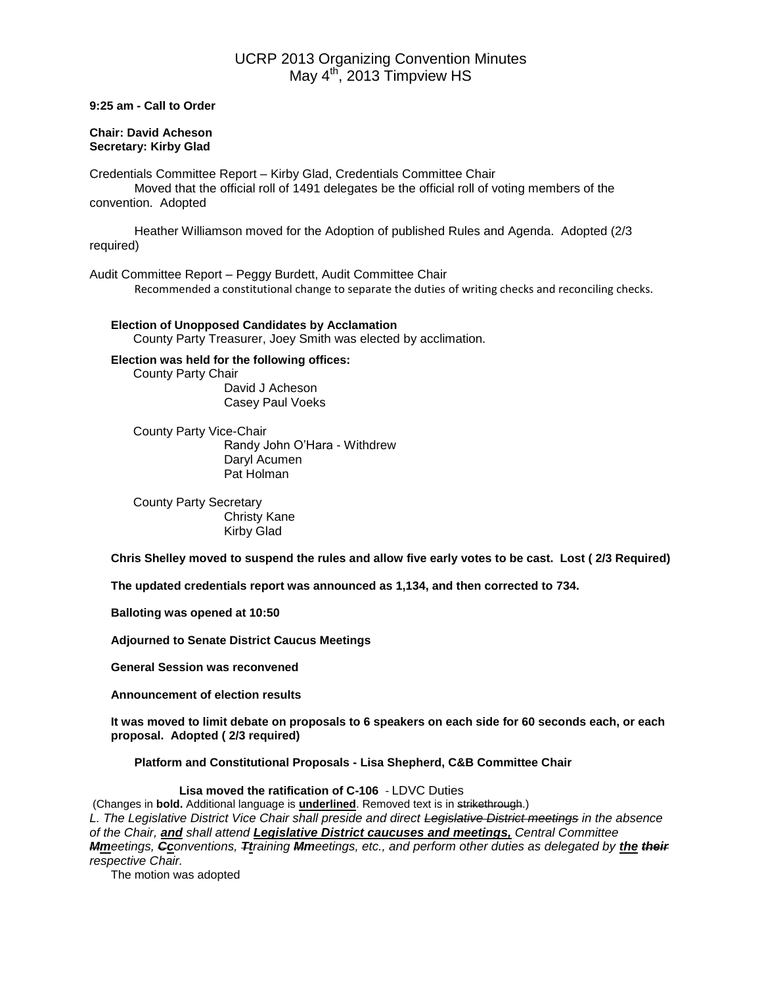# UCRP 2013 Organizing Convention Minutes May  $4^{\text{th}}$ , 2013 Timpview HS

**9:25 am - Call to Order**

#### **Chair: David Acheson Secretary: Kirby Glad**

Credentials Committee Report – Kirby Glad, Credentials Committee Chair Moved that the official roll of 1491 delegates be the official roll of voting members of the convention. Adopted

Heather Williamson moved for the Adoption of published Rules and Agenda. Adopted (2/3 required)

Audit Committee Report – Peggy Burdett, Audit Committee Chair Recommended a constitutional change to separate the duties of writing checks and reconciling checks.

**Election of Unopposed Candidates by Acclamation** County Party Treasurer, Joey Smith was elected by acclimation.

# **Election was held for the following offices:** County Party Chair David J Acheson

Casey Paul Voeks

County Party Vice-Chair Randy John O'Hara - Withdrew Daryl Acumen Pat Holman

County Party Secretary Christy Kane Kirby Glad

**Chris Shelley moved to suspend the rules and allow five early votes to be cast. Lost ( 2/3 Required)**

**The updated credentials report was announced as 1,134, and then corrected to 734.**

**Balloting was opened at 10:50**

**Adjourned to Senate District Caucus Meetings**

**General Session was reconvened**

**Announcement of election results**

**It was moved to limit debate on proposals to 6 speakers on each side for 60 seconds each, or each proposal. Adopted ( 2/3 required)**

**Platform and Constitutional Proposals - Lisa Shepherd, C&B Committee Chair**

**Lisa moved the ratification of C-106** - LDVC Duties

(Changes in **bold.** Additional language is **underlined**. Removed text is in strikethrough.) *L. The Legislative District Vice Chair shall preside and direct Legislative District meetings in the absence of the Chair, and shall attend Legislative District caucuses and meetings, Central Committee Mmeetings, Cconventions, Ttraining Mmeetings, etc., and perform other duties as delegated by the their respective Chair.*

The motion was adopted